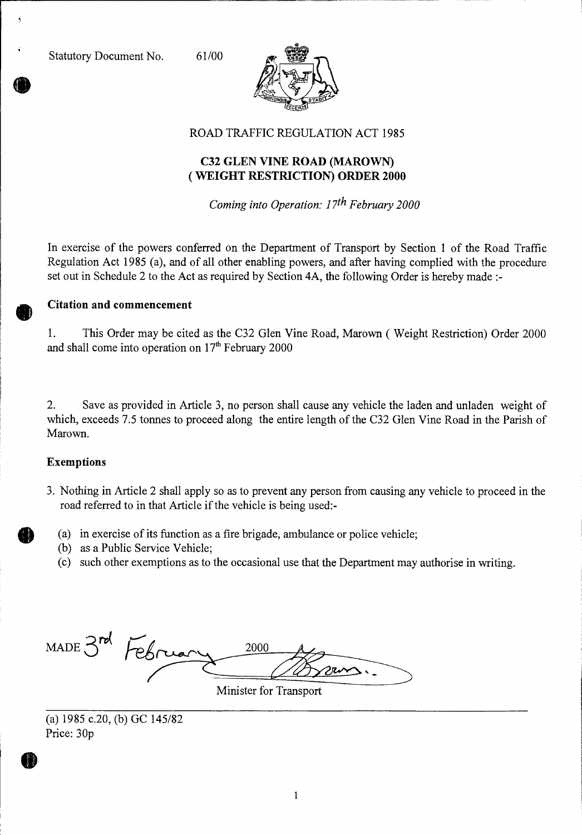

ROAD TRAFFIC REGULATION ACT 1985

### **C32 GLEN VINE ROAD (MAROWN) ( WEIGHT RESTRICTION) ORDER 2000**

*Coming into Operation: 17th February 2000* 

In exercise of the powers conferred on the Department of Transport by Section 1 of the Road Traffic Regulation Act 1985 (a), and of all other enabling powers, and after having complied with the procedure set out in Schedule 2 to the Act as required by Section 4A, the following Order is hereby made :-

### **Citation and commencement**

1. This Order may be cited as the C32 Glen Vine Road, Marown ( Weight Restriction) Order 2000 and shall come into operation on 17<sup>th</sup> February 2000

2. Save as provided in Article 3, no person shall cause any vehicle the laden and unladen weight of which, exceeds 7.5 tonnes to proceed along the entire length of the C32 Glen Vine Road in the Parish of Marown.

#### **Exemptions**

- 3. Nothing in Article 2 shall apply so as to prevent any person from causing any vehicle to proceed in the road referred to in that Article if the vehicle is being used:-
	- (a) in exercise of its function as a fire brigade, ambulance or police vehicle;
	- (b) as a Public Service Vehicle;
	- (c) such other exemptions as to the occasional use that the Department may authorise in writing.

MADE 3rd Febru 2000

Minister for Transport

<sup>(</sup>a) 1985 c.20, (b) GC 145/82 Price: 30p